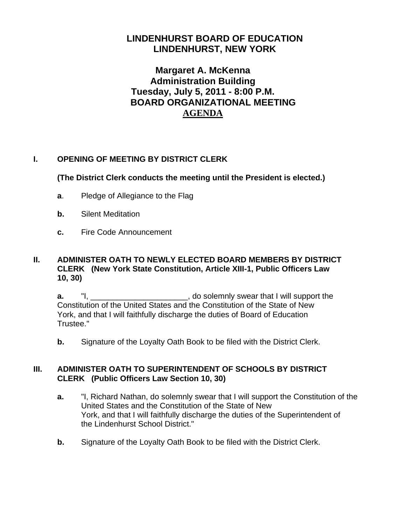# **LINDENHURST BOARD OF EDUCATION LINDENHURST, NEW YORK**

# **Margaret A. McKenna Administration Building Tuesday, July 5, 2011 - 8:00 P.M. BOARD ORGANIZATIONAL MEETING AGENDA**

# **I. OPENING OF MEETING BY DISTRICT CLERK**

### **(The District Clerk conducts the meeting until the President is elected.)**

- **a**. Pledge of Allegiance to the Flag
- **b.** Silent Meditation
- **c.** Fire Code Announcement

#### **II. ADMINISTER OATH TO NEWLY ELECTED BOARD MEMBERS BY DISTRICT CLERK (New York State Constitution, Article XIII-1, Public Officers Law 10, 30)**

**a.** "I, \_\_\_\_\_\_\_\_\_\_\_\_\_\_\_\_\_\_\_\_\_\_, do solemnly swear that I will support the Constitution of the United States and the Constitution of the State of New York, and that I will faithfully discharge the duties of Board of Education Trustee."

**b.** Signature of the Loyalty Oath Book to be filed with the District Clerk.

#### **III. ADMINISTER OATH TO SUPERINTENDENT OF SCHOOLS BY DISTRICT CLERK (Public Officers Law Section 10, 30)**

- **a.** "I, Richard Nathan, do solemnly swear that I will support the Constitution of the United States and the Constitution of the State of New York, and that I will faithfully discharge the duties of the Superintendent of the Lindenhurst School District."
- **b.** Signature of the Loyalty Oath Book to be filed with the District Clerk.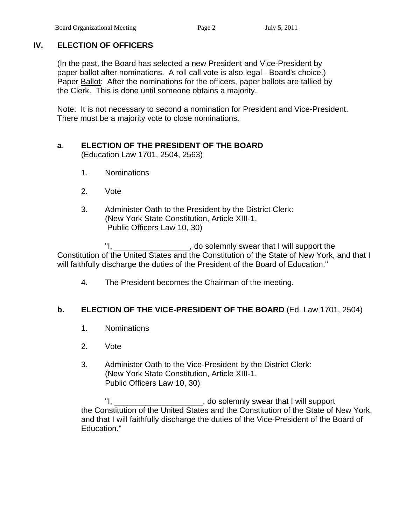# **IV. ELECTION OF OFFICERS**

(In the past, the Board has selected a new President and Vice-President by paper ballot after nominations. A roll call vote is also legal - Board's choice.) Paper Ballot: After the nominations for the officers, paper ballots are tallied by the Clerk. This is done until someone obtains a majority.

 Note: It is not necessary to second a nomination for President and Vice-President. There must be a majority vote to close nominations.

# **a**. **ELECTION OF THE PRESIDENT OF THE BOARD**

(Education Law 1701, 2504, 2563)

- 1. Nominations
- 2. Vote
- 3. Administer Oath to the President by the District Clerk: (New York State Constitution, Article XIII-1, Public Officers Law 10, 30)

 "I, \_\_\_\_\_\_\_\_\_\_\_\_\_\_\_\_\_, do solemnly swear that I will support the Constitution of the United States and the Constitution of the State of New York, and that I will faithfully discharge the duties of the President of the Board of Education."

4. The President becomes the Chairman of the meeting.

# **b. ELECTION OF THE VICE-PRESIDENT OF THE BOARD** (Ed. Law 1701, 2504)

- 1. Nominations
- 2. Vote
- 3. Administer Oath to the Vice-President by the District Clerk: (New York State Constitution, Article XIII-1, Public Officers Law 10, 30)

 "I, \_\_\_\_\_\_\_\_\_\_\_\_\_\_\_\_\_\_\_\_, do solemnly swear that I will support the Constitution of the United States and the Constitution of the State of New York, and that I will faithfully discharge the duties of the Vice-President of the Board of Education."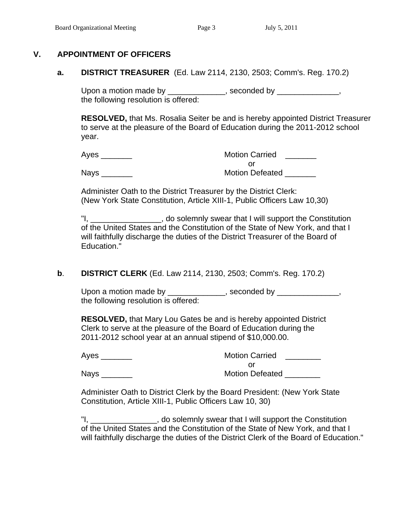#### **V. APPOINTMENT OF OFFICERS**

 **a. DISTRICT TREASURER** (Ed. Law 2114, 2130, 2503; Comm's. Reg. 170.2)

Upon a motion made by \_\_\_\_\_\_\_\_\_\_\_\_\_, seconded by \_\_\_\_\_\_\_\_\_\_\_\_\_, the following resolution is offered:

**RESOLVED,** that Ms. Rosalia Seiter be and is hereby appointed District Treasurer to serve at the pleasure of the Board of Education during the 2011-2012 school year.

Ayes **Axes Axes Axes Axes Axes Axes Axes Axes Axes Axes Axes Axes Axes Axes Axes Axes Axes Axes Axes Axes Axes Axes Axes Axes Axes Axes Axes Axes Axes Axes Axes** or and the contract of the contract of the contract of the contract of the contract of the contract of the contract of the contract of the contract of the contract of the contract of the contract of the contract of the con

Nays **Nation Defeated Notion Defeated** 

 Administer Oath to the District Treasurer by the District Clerk: (New York State Constitution, Article XIII-1, Public Officers Law 10,30)

"I, The solemnly swear that I will support the Constitution of the United States and the Constitution of the State of New York, and that I will faithfully discharge the duties of the District Treasurer of the Board of Education."

### **b**. **DISTRICT CLERK** (Ed. Law 2114, 2130, 2503; Comm's. Reg. 170.2)

Upon a motion made by \_\_\_\_\_\_\_\_\_\_\_\_\_, seconded by \_\_\_\_\_\_\_\_\_\_\_\_\_, the following resolution is offered:

 **RESOLVED,** that Mary Lou Gates be and is hereby appointed District Clerk to serve at the pleasure of the Board of Education during the 2011-2012 school year at an annual stipend of \$10,000.00.

| Ayes        | <b>Motion Carried</b>  |
|-------------|------------------------|
|             |                        |
| <b>Nays</b> | <b>Motion Defeated</b> |

 Administer Oath to District Clerk by the Board President: (New York State Constitution, Article XIII-1, Public Officers Law 10, 30)

 "I, \_\_\_\_\_\_\_\_\_\_\_\_\_\_\_, do solemnly swear that I will support the Constitution of the United States and the Constitution of the State of New York, and that I will faithfully discharge the duties of the District Clerk of the Board of Education."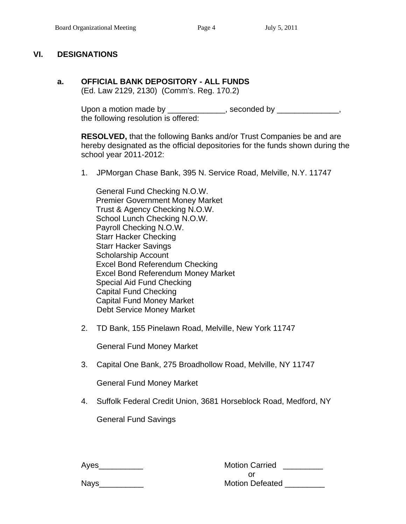#### **VI. DESIGNATIONS**

#### **a. OFFICIAL BANK DEPOSITORY - ALL FUNDS**

(Ed. Law 2129, 2130) (Comm's. Reg. 170.2)

Upon a motion made by \_\_\_\_\_\_\_\_\_\_\_\_\_, seconded by \_\_\_\_\_\_\_\_\_\_\_\_\_, the following resolution is offered:

**RESOLVED,** that the following Banks and/or Trust Companies be and are hereby designated as the official depositories for the funds shown during the school year 2011-2012:

1. JPMorgan Chase Bank, 395 N. Service Road, Melville, N.Y. 11747

 General Fund Checking N.O.W. Premier Government Money Market Trust & Agency Checking N.O.W. School Lunch Checking N.O.W. Payroll Checking N.O.W. Starr Hacker Checking Starr Hacker Savings Scholarship Account Excel Bond Referendum Checking Excel Bond Referendum Money Market Special Aid Fund Checking Capital Fund Checking Capital Fund Money Market Debt Service Money Market

2. TD Bank, 155 Pinelawn Road, Melville, New York 11747

General Fund Money Market

3. Capital One Bank, 275 Broadhollow Road, Melville, NY 11747

General Fund Money Market

4. Suffolk Federal Credit Union, 3681 Horseblock Road, Medford, NY

General Fund Savings

| Ayes        | <b>Motion Carried</b>  |
|-------------|------------------------|
|             |                        |
| <b>Nays</b> | <b>Motion Defeated</b> |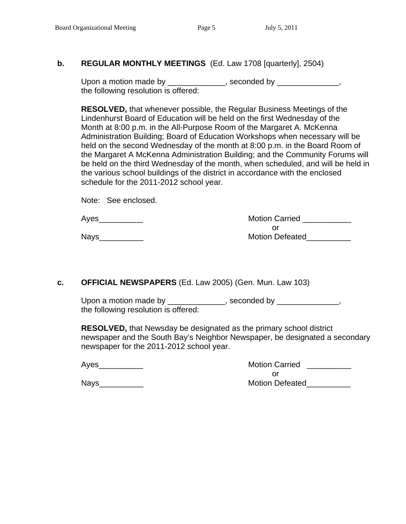#### **b. REGULAR MONTHLY MEETINGS** (Ed. Law 1708 [quarterly], 2504)

Upon a motion made by \_\_\_\_\_\_\_\_\_\_\_\_\_, seconded by \_\_\_\_\_\_\_\_\_\_\_\_\_, the following resolution is offered:

**RESOLVED,** that whenever possible, the Regular Business Meetings of the Lindenhurst Board of Education will be held on the first Wednesday of the Month at 8:00 p.m. in the All-Purpose Room of the Margaret A. McKenna Administration Building; Board of Education Workshops when necessary will be held on the second Wednesday of the month at 8:00 p.m. in the Board Room of the Margaret A McKenna Administration Building; and the Community Forums will be held on the third Wednesday of the month, when scheduled, and will be held in the various school buildings of the district in accordance with the enclosed schedule for the 2011-2012 school year.

| Note: See enclosed. |
|---------------------|
|                     |

 Ayes\_\_\_\_\_\_\_\_\_\_ Motion Carried \_\_\_\_\_\_\_\_\_\_\_ or and the state of the state of the state of the state of the state of the state of the state of the state of Nays\_\_\_\_\_\_\_\_\_\_ Motion Defeated\_\_\_\_\_\_\_\_\_\_

### **c. OFFICIAL NEWSPAPERS** (Ed. Law 2005) (Gen. Mun. Law 103)

Upon a motion made by \_\_\_\_\_\_\_\_\_\_\_\_\_, seconded by \_\_\_\_\_\_\_\_\_\_\_\_\_, the following resolution is offered:

**RESOLVED,** that Newsday be designated as the primary school district newspaper and the South Bay's Neighbor Newspaper, be designated a secondary newspaper for the 2011-2012 school year.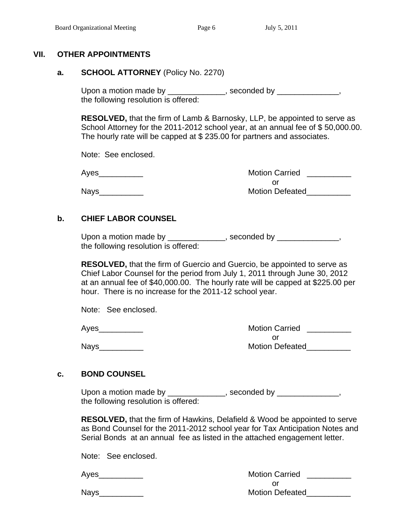#### **VII. OTHER APPOINTMENTS**

#### **a. SCHOOL ATTORNEY** (Policy No. 2270)

Upon a motion made by \_\_\_\_\_\_\_\_\_\_\_\_\_, seconded by \_\_\_\_\_\_\_\_\_\_\_\_\_, the following resolution is offered:

 **RESOLVED,** that the firm of Lamb & Barnosky, LLP, be appointed to serve as School Attorney for the 2011-2012 school year, at an annual fee of \$50,000.00. The hourly rate will be capped at \$ 235.00 for partners and associates.

Note: See enclosed.

 Ayes\_\_\_\_\_\_\_\_\_\_ Motion Carried \_\_\_\_\_\_\_\_\_\_ or and the state of the state of the state of the state of the state of the state of the state of the state of Nays\_\_\_\_\_\_\_\_\_\_ Motion Defeated\_\_\_\_\_\_\_\_\_\_

#### **b. CHIEF LABOR COUNSEL**

Upon a motion made by \_\_\_\_\_\_\_\_\_\_\_\_\_, seconded by \_\_\_\_\_\_\_\_\_\_\_\_\_, the following resolution is offered:

 **RESOLVED,** that the firm of Guercio and Guercio, be appointed to serve as Chief Labor Counsel for the period from July 1, 2011 through June 30, 2012 at an annual fee of \$40,000.00. The hourly rate will be capped at \$225.00 per hour. There is no increase for the 2011-12 school year.

Note: See enclosed.

 Ayes\_\_\_\_\_\_\_\_\_\_ Motion Carried \_\_\_\_\_\_\_\_\_\_ or and the contract of the contract of the contract of the contract of the contract of the contract of the contract of the contract of the contract of the contract of the contract of the contract of the contract of the con Nays\_\_\_\_\_\_\_\_\_\_ Motion Defeated\_\_\_\_\_\_\_\_\_\_

#### **c. BOND COUNSEL**

Upon a motion made by \_\_\_\_\_\_\_\_\_\_\_\_\_, seconded by \_\_\_\_\_\_\_\_\_\_\_\_\_, the following resolution is offered:

> **RESOLVED,** that the firm of Hawkins, Delafield & Wood be appointed to serve as Bond Counsel for the 2011-2012 school year for Tax Anticipation Notes and Serial Bonds at an annual fee as listed in the attached engagement letter.

Note: See enclosed.

Ayes extending the set of the Motion Carried Ayes and the Motion Carried and the Motion Carried and the Motion Carried and the Motion Carried and the Motion Carried and the Motion Carried and the Motion Carried and the Mot or and the state of the state of the state of the state of the state of the state of the state of the state of Nays\_\_\_\_\_\_\_\_\_\_ Motion Defeated\_\_\_\_\_\_\_\_\_\_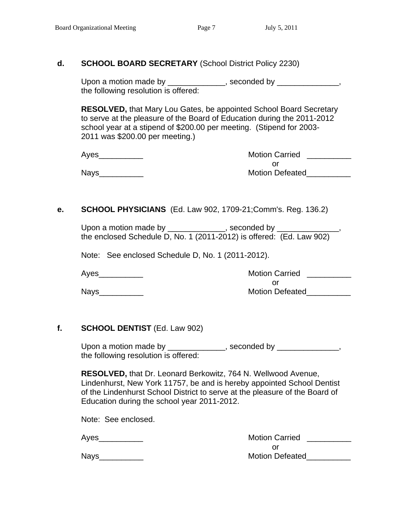#### **d. SCHOOL BOARD SECRETARY** (School District Policy 2230)

Upon a motion made by \_\_\_\_\_\_\_\_\_\_\_\_\_, seconded by \_\_\_\_\_\_\_\_\_\_\_\_\_, the following resolution is offered:

 **RESOLVED,** that Mary Lou Gates, be appointed School Board Secretary to serve at the pleasure of the Board of Education during the 2011-2012 school year at a stipend of \$200.00 per meeting. (Stipend for 2003- 2011 was \$200.00 per meeting.)

| Aves | <b>Motion Carried</b>  |
|------|------------------------|
|      |                        |
| Nays | <b>Motion Defeated</b> |

#### **e. SCHOOL PHYSICIANS** (Ed. Law 902, 1709-21;Comm's. Reg. 136.2)

Upon a motion made by \_\_\_\_\_\_\_\_\_\_\_\_, seconded by \_\_\_\_\_\_ the enclosed Schedule D, No. 1 (2011-2012) is offered: (Ed. Law 902)

Note: See enclosed Schedule D, No. 1 (2011-2012).

Ayes extending the set of the Motion Carried Ayes and the Motion Carried Ayes and the Motion Carried Ayes and  $\sim$ or and the contract of the contract of the contract of the contract of the contract of the contract of the contract of the contract of the contract of the contract of the contract of the contract of the contract of the con Nays\_\_\_\_\_\_\_\_\_\_ Motion Defeated\_\_\_\_\_\_\_\_\_\_

#### **f. SCHOOL DENTIST** (Ed. Law 902)

Upon a motion made by \_\_\_\_\_\_\_\_\_\_\_\_\_, seconded by \_\_\_\_\_\_\_\_\_\_\_\_\_, the following resolution is offered:

 **RESOLVED,** that Dr. Leonard Berkowitz, 764 N. Wellwood Avenue, Lindenhurst, New York 11757, be and is hereby appointed School Dentist of the Lindenhurst School District to serve at the pleasure of the Board of Education during the school year 2011-2012.

Note: See enclosed.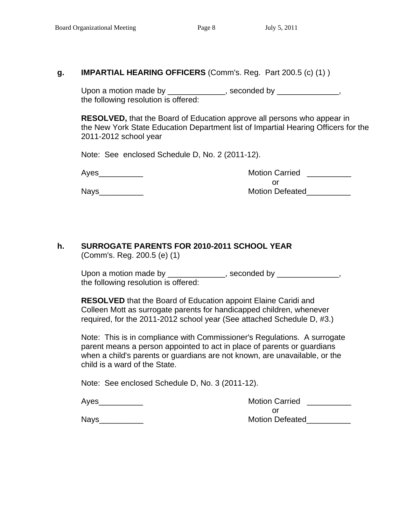#### **g. IMPARTIAL HEARING OFFICERS** (Comm's. Reg. Part 200.5 (c) (1) )

Upon a motion made by \_\_\_\_\_\_\_\_\_\_\_\_\_, seconded by \_\_\_\_\_\_\_\_\_\_\_\_\_, the following resolution is offered:

**RESOLVED,** that the Board of Education approve all persons who appear in the New York State Education Department list of Impartial Hearing Officers for the 2011-2012 school year

Note: See enclosed Schedule D, No. 2 (2011-12).

| Ayes | <b>Motion Carried</b>  |
|------|------------------------|
|      |                        |
| Nays | <b>Motion Defeated</b> |

# Nays\_\_\_\_\_\_\_\_\_\_\_\_\_\_

#### **h. SURROGATE PARENTS FOR 2010-2011 SCHOOL YEAR** (Comm's. Reg. 200.5 (e) (1)

Upon a motion made by \_\_\_\_\_\_\_\_\_\_\_\_\_, seconded by \_\_\_\_\_\_\_\_\_\_\_\_\_, the following resolution is offered:

 **RESOLVED** that the Board of Education appoint Elaine Caridi and Colleen Mott as surrogate parents for handicapped children, whenever required, for the 2011-2012 school year (See attached Schedule D, #3.)

Note: This is in compliance with Commissioner's Regulations. A surrogate parent means a person appointed to act in place of parents or guardians when a child's parents or guardians are not known, are unavailable, or the child is a ward of the State.

Note: See enclosed Schedule D, No. 3 (2011-12).

| Ayes | <b>Motion Carried</b>  |
|------|------------------------|
|      |                        |
| Nays | <b>Motion Defeated</b> |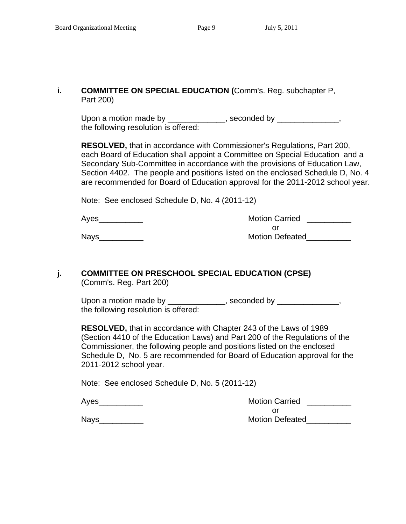#### **i. COMMITTEE ON SPECIAL EDUCATION (**Comm's. Reg. subchapter P, Part 200)

Upon a motion made by \_\_\_\_\_\_\_\_\_\_\_\_\_, seconded by \_\_\_\_\_\_\_\_\_\_\_\_\_, the following resolution is offered:

 **RESOLVED,** that in accordance with Commissioner's Regulations, Part 200, each Board of Education shall appoint a Committee on Special Education and a Secondary Sub-Committee in accordance with the provisions of Education Law, Section 4402. The people and positions listed on the enclosed Schedule D, No. 4 are recommended for Board of Education approval for the 2011-2012 school year.

Note: See enclosed Schedule D, No. 4 (2011-12)

 Ayes\_\_\_\_\_\_\_\_\_\_ Motion Carried \_\_\_\_\_\_\_\_\_\_ or and the contract of the contract of the contract of the contract of the contract of the contract of the contract of the contract of the contract of the contract of the contract of the contract of the contract of the con Nays extending the contract of the Motion Defeated

#### **j. COMMITTEE ON PRESCHOOL SPECIAL EDUCATION (CPSE)** (Comm's. Reg. Part 200)

Upon a motion made by \_\_\_\_\_\_\_\_\_\_\_\_\_, seconded by \_\_\_\_\_\_\_\_\_\_\_\_\_, the following resolution is offered:

 **RESOLVED,** that in accordance with Chapter 243 of the Laws of 1989 (Section 4410 of the Education Laws) and Part 200 of the Regulations of the Commissioner, the following people and positions listed on the enclosed Schedule D, No. 5 are recommended for Board of Education approval for the 2011-2012 school year.

Note: See enclosed Schedule D, No. 5 (2011-12)

| Ayes | <b>Motion Carried</b>  |
|------|------------------------|
|      |                        |
| Nays | <b>Motion Defeated</b> |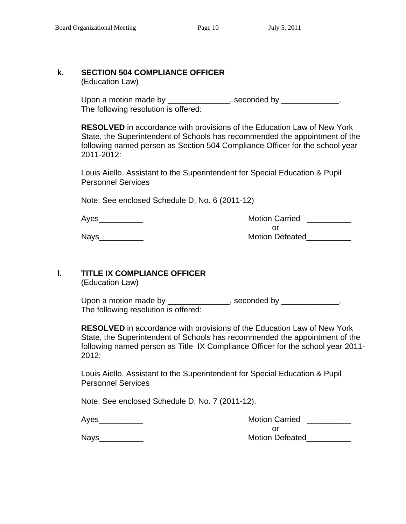# **k. SECTION 504 COMPLIANCE OFFICER**

(Education Law)

Upon a motion made by \_\_\_\_\_\_\_\_\_\_\_\_\_\_\_, seconded by \_\_\_\_\_\_\_\_\_\_\_\_\_, The following resolution is offered:

> **RESOLVED** in accordance with provisions of the Education Law of New York State, the Superintendent of Schools has recommended the appointment of the following named person as Section 504 Compliance Officer for the school year 2011-2012:

 Louis Aiello, Assistant to the Superintendent for Special Education & Pupil Personnel Services

Note: See enclosed Schedule D, No. 6 (2011-12)

Ayes **Axes** Ayes **Axes** Ayes **Axes** Assembly Motion Carried **Axes** Ayes **Axes** Ayes **Axes** Ayes **Axes** Ayes **Ayes** Ayes **Ayes Ayes Ayes Ayes Ayes Ayes Ayes Ayes Ayes Ayes Ayes Ayes Ayes Ayes Aye** or and the contract of the contract of the contract of the contract of the contract of the contract of the contract of the contract of the contract of the contract of the contract of the contract of the contract of the con Nays extending the contract of the Motion Defeated

#### **l. TITLE IX COMPLIANCE OFFICER**

(Education Law)

Upon a motion made by \_\_\_\_\_\_\_\_\_\_\_\_\_\_, seconded by \_\_\_\_\_\_\_\_\_\_\_\_\_, The following resolution is offered:

**RESOLVED** in accordance with provisions of the Education Law of New York State, the Superintendent of Schools has recommended the appointment of the following named person as Title IX Compliance Officer for the school year 2011- 2012:

Louis Aiello, Assistant to the Superintendent for Special Education & Pupil Personnel Services

Note: See enclosed Schedule D, No. 7 (2011-12).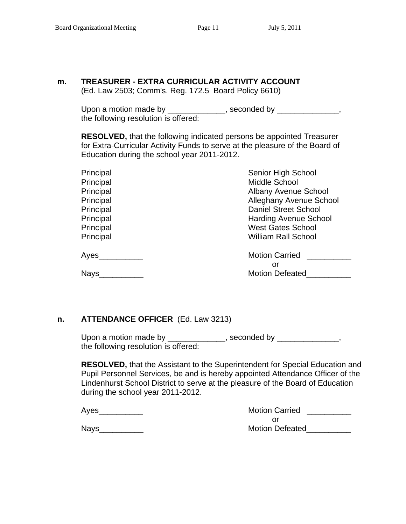#### **m. TREASURER - EXTRA CURRICULAR ACTIVITY ACCOUNT**

(Ed. Law 2503; Comm's. Reg. 172.5 Board Policy 6610)

Upon a motion made by \_\_\_\_\_\_\_\_\_\_\_\_\_, seconded by \_\_\_\_\_\_\_\_\_\_\_\_\_, the following resolution is offered:

 **RESOLVED,** that the following indicated persons be appointed Treasurer for Extra-Curricular Activity Funds to serve at the pleasure of the Board of Education during the school year 2011-2012.

| Senior High School           |
|------------------------------|
| Middle School                |
| <b>Albany Avenue School</b>  |
| Alleghany Avenue School      |
| <b>Daniel Street School</b>  |
| <b>Harding Avenue School</b> |
| <b>West Gates School</b>     |
| <b>William Rall School</b>   |
| <b>Motion Carried</b>        |
| or                           |
| <b>Motion Defeated</b>       |
|                              |

#### **n. ATTENDANCE OFFICER** (Ed. Law 3213)

Upon a motion made by \_\_\_\_\_\_\_\_\_\_\_\_\_, seconded by \_\_\_\_\_\_\_\_\_\_\_\_\_, the following resolution is offered:

**RESOLVED,** that the Assistant to the Superintendent for Special Education and Pupil Personnel Services, be and is hereby appointed Attendance Officer of the Lindenhurst School District to serve at the pleasure of the Board of Education during the school year 2011-2012.

| Ayes | <b>Motion Carried</b>  |
|------|------------------------|
|      | Οľ                     |
| Navs | <b>Motion Defeated</b> |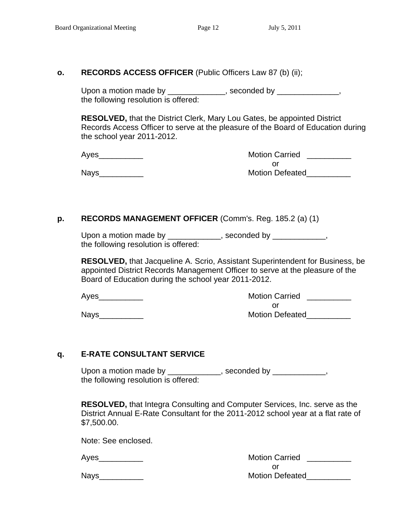#### **o. RECORDS ACCESS OFFICER** (Public Officers Law 87 (b) (ii);

Upon a motion made by \_\_\_\_\_\_\_\_\_\_\_\_\_, seconded by \_\_\_\_\_\_\_\_\_\_\_\_\_, the following resolution is offered:

**RESOLVED,** that the District Clerk, Mary Lou Gates, be appointed District Records Access Officer to serve at the pleasure of the Board of Education during the school year 2011-2012.

 Ayes\_\_\_\_\_\_\_\_\_\_ Motion Carried \_\_\_\_\_\_\_\_\_\_ or and the contract of the contract of the contract of the contract of the contract of the contract of the contract of the contract of the contract of the contract of the contract of the contract of the contract of the con Nays\_\_\_\_\_\_\_\_\_\_ Motion Defeated\_\_\_\_\_\_\_\_\_\_

#### **p. RECORDS MANAGEMENT OFFICER** (Comm's. Reg. 185.2 (a) (1)

| Upon a motion made by                | , seconded by |
|--------------------------------------|---------------|
| the following resolution is offered: |               |

**RESOLVED,** that Jacqueline A. Scrio, Assistant Superintendent for Business, be appointed District Records Management Officer to serve at the pleasure of the Board of Education during the school year 2011-2012.

 Ayes\_\_\_\_\_\_\_\_\_\_ Motion Carried \_\_\_\_\_\_\_\_\_\_ or and the contract of the contract of the contract of the contract of the contract of the contract of the contract of the contract of the contract of the contract of the contract of the contract of the contract of the con Nays\_\_\_\_\_\_\_\_\_\_ Motion Defeated\_\_\_\_\_\_\_\_\_\_

### **q. E-RATE CONSULTANT SERVICE**

Upon a motion made by \_\_\_\_\_\_\_\_\_\_\_\_, seconded by \_\_\_\_\_\_\_\_\_\_\_, the following resolution is offered:

 **RESOLVED,** that Integra Consulting and Computer Services, Inc. serve as the District Annual E-Rate Consultant for the 2011-2012 school year at a flat rate of \$7,500.00.

Note: See enclosed.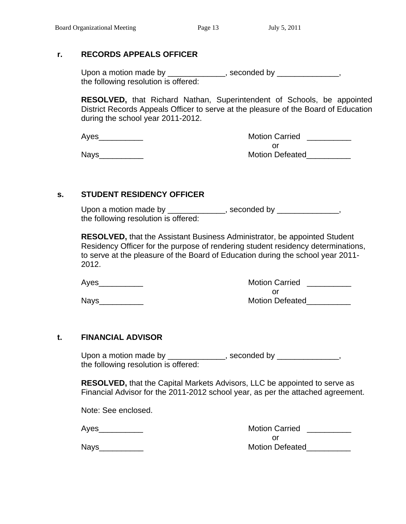#### **r. RECORDS APPEALS OFFICER**

Upon a motion made by \_\_\_\_\_\_\_\_\_\_\_\_\_, seconded by \_\_\_\_\_\_\_\_\_\_\_\_, the following resolution is offered:

**RESOLVED,** that Richard Nathan, Superintendent of Schools, be appointed District Records Appeals Officer to serve at the pleasure of the Board of Education during the school year 2011-2012.

| Ayes | <b>Motion Carried</b>  |
|------|------------------------|
|      |                        |
| Nays | <b>Motion Defeated</b> |

#### **s. STUDENT RESIDENCY OFFICER**

Upon a motion made by \_\_\_\_\_\_\_\_\_\_\_\_\_, seconded by \_\_\_\_\_\_\_\_\_\_\_\_\_, the following resolution is offered:

**RESOLVED,** that the Assistant Business Administrator, be appointed Student Residency Officer for the purpose of rendering student residency determinations, to serve at the pleasure of the Board of Education during the school year 2011- 2012.

 Ayes\_\_\_\_\_\_\_\_\_\_ Motion Carried \_\_\_\_\_\_\_\_\_\_ or and the contract of the contract of the contract of the contract of the contract of the contract of the contract of the contract of the contract of the contract of the contract of the contract of the contract of the con Nays\_\_\_\_\_\_\_\_\_\_ Motion Defeated\_\_\_\_\_\_\_\_\_\_

#### **t. FINANCIAL ADVISOR**

Upon a motion made by \_\_\_\_\_\_\_\_\_\_\_\_\_, seconded by \_\_\_\_\_\_\_\_\_\_\_\_, the following resolution is offered:

 **RESOLVED,** that the Capital Markets Advisors, LLC be appointed to serve as Financial Advisor for the 2011-2012 school year, as per the attached agreement.

Note: See enclosed.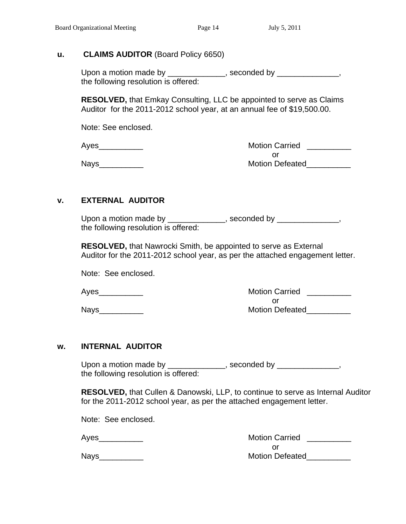#### **u. CLAIMS AUDITOR** (Board Policy 6650)

Upon a motion made by \_\_\_\_\_\_\_\_\_\_\_\_\_, seconded by \_\_\_\_\_\_\_\_\_\_\_\_\_, the following resolution is offered:

 **RESOLVED,** that Emkay Consulting, LLC be appointed to serve as Claims Auditor for the 2011-2012 school year, at an annual fee of \$19,500.00.

Note: See enclosed.

| Aves | <b>Motion Carried</b>  |
|------|------------------------|
|      |                        |
| Nays | <b>Motion Defeated</b> |

### **v. EXTERNAL AUDITOR**

Upon a motion made by \_\_\_\_\_\_\_\_\_\_\_\_\_, seconded by \_\_\_\_\_\_\_\_\_\_\_\_\_, the following resolution is offered:

 **RESOLVED,** that Nawrocki Smith, be appointed to serve as External Auditor for the 2011-2012 school year, as per the attached engagement letter.

Note: See enclosed.

Ayes extending the matrix of the Motion Carried Ayes and the Motion Carried and the Motion Carried and the Motion Carried and the Motion Carried and the Motion Carried and the Motion Carried and the Motion Carried and the or and the contract of the contract of the contract of the contract of the contract of the contract of the contract of the contract of the contract of the contract of the contract of the contract of the contract of the con Nays extending the set of the Motion Defeated

#### **w. INTERNAL AUDITOR**

Upon a motion made by \_\_\_\_\_\_\_\_\_\_\_\_\_, seconded by \_\_\_\_\_\_\_\_\_\_\_\_\_, the following resolution is offered:

 **RESOLVED,** that Cullen & Danowski, LLP, to continue to serve as Internal Auditor for the 2011-2012 school year, as per the attached engagement letter.

Note: See enclosed.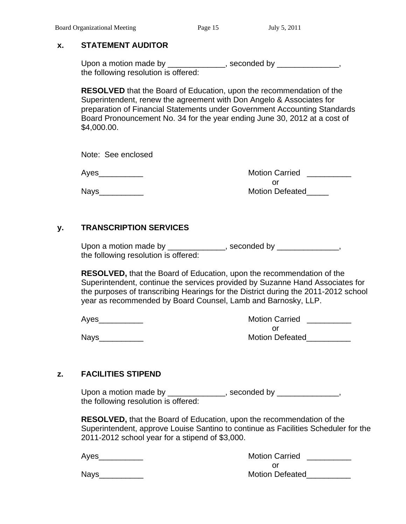#### **x. STATEMENT AUDITOR**

Upon a motion made by \_\_\_\_\_\_\_\_\_\_\_\_\_, seconded by \_\_\_\_\_\_\_\_\_\_\_\_\_, the following resolution is offered:

**RESOLVED** that the Board of Education, upon the recommendation of the Superintendent, renew the agreement with Don Angelo & Associates for preparation of Financial Statements under Government Accounting Standards Board Pronouncement No. 34 for the year ending June 30, 2012 at a cost of \$4,000.00.

Note: See enclosed

 Ayes\_\_\_\_\_\_\_\_\_\_ Motion Carried \_\_\_\_\_\_\_\_\_\_ or and the contract of the contract of the contract of the contract of the contract of the contract of the contract of the contract of the contract of the contract of the contract of the contract of the contract of the con Nays **Nation Defeated** 

### **y. TRANSCRIPTION SERVICES**

Upon a motion made by \_\_\_\_\_\_\_\_\_\_\_\_\_, seconded by \_\_\_\_\_\_\_\_\_\_\_\_\_, the following resolution is offered:

 **RESOLVED,** that the Board of Education, upon the recommendation of the Superintendent, continue the services provided by Suzanne Hand Associates for the purposes of transcribing Hearings for the District during the 2011-2012 school year as recommended by Board Counsel, Lamb and Barnosky, LLP.

 Ayes\_\_\_\_\_\_\_\_\_\_ Motion Carried \_\_\_\_\_\_\_\_\_\_ or and the contract of the contract of the contract of the contract of the contract of the contract of the contract of the contract of the contract of the contract of the contract of the contract of the contract of the con Nays\_\_\_\_\_\_\_\_\_\_ Motion Defeated\_\_\_\_\_\_\_\_\_\_

### **z. FACILITIES STIPEND**

Upon a motion made by \_\_\_\_\_\_\_\_\_\_\_\_\_, seconded by \_\_\_\_\_\_\_\_\_\_\_\_\_, the following resolution is offered:

> **RESOLVED,** that the Board of Education, upon the recommendation of the Superintendent, approve Louise Santino to continue as Facilities Scheduler for the 2011-2012 school year for a stipend of \$3,000.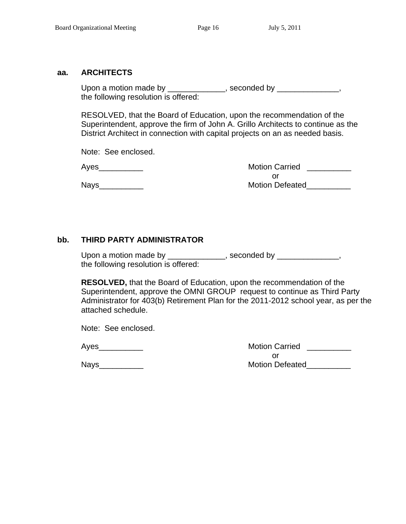#### **aa. ARCHITECTS**

Upon a motion made by \_\_\_\_\_\_\_\_\_\_\_\_, seconded by \_\_\_\_\_\_\_\_\_\_\_\_, the following resolution is offered:

 RESOLVED, that the Board of Education, upon the recommendation of the Superintendent, approve the firm of John A. Grillo Architects to continue as the District Architect in connection with capital projects on an as needed basis.

Note: See enclosed.

 Ayes\_\_\_\_\_\_\_\_\_\_ Motion Carried \_\_\_\_\_\_\_\_\_\_ or and the contract of the contract of the contract of the contract of the contract of the contract of the contract of the contract of the contract of the contract of the contract of the contract of the contract of the con Nays\_\_\_\_\_\_\_\_\_\_ Motion Defeated\_\_\_\_\_\_\_\_\_\_

### **bb. THIRD PARTY ADMINISTRATOR**

Upon a motion made by \_\_\_\_\_\_\_\_\_\_\_\_\_, seconded by \_\_\_\_\_\_\_\_\_\_\_\_\_, the following resolution is offered:

**RESOLVED,** that the Board of Education, upon the recommendation of the Superintendent, approve the OMNI GROUP request to continue as Third Party Administrator for 403(b) Retirement Plan for the 2011-2012 school year, as per the attached schedule.

Note: See enclosed.

| Ayes | <b>Motion Carried</b>  |
|------|------------------------|
|      |                        |
| Nays | <b>Motion Defeated</b> |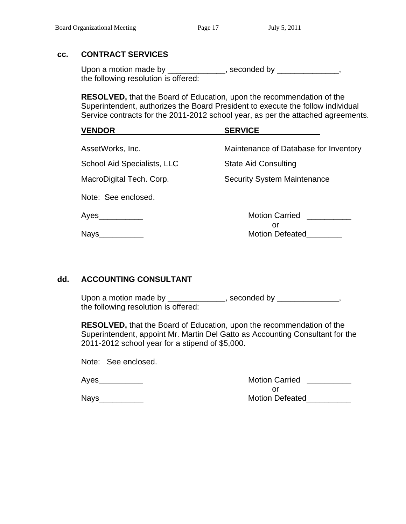#### **cc. CONTRACT SERVICES**

Upon a motion made by \_\_\_\_\_\_\_\_\_\_\_\_\_, seconded by \_\_\_\_\_\_\_\_\_\_\_\_\_, the following resolution is offered:

 **RESOLVED,** that the Board of Education, upon the recommendation of the Superintendent, authorizes the Board President to execute the follow individual Service contracts for the 2011-2012 school year, as per the attached agreements.

| <b>VENDOR</b> |                             | <b>SERVICE</b> |                                       |
|---------------|-----------------------------|----------------|---------------------------------------|
|               | AssetWorks, Inc.            |                | Maintenance of Database for Inventory |
|               | School Aid Specialists, LLC |                | <b>State Aid Consulting</b>           |
|               | MacroDigital Tech. Corp.    |                | <b>Security System Maintenance</b>    |
|               | Note: See enclosed.         |                |                                       |
|               | Ayes________                |                | <b>Motion Carried</b>                 |
| <b>Nays</b>   |                             |                | or<br><b>Motion Defeated</b>          |

### **dd. ACCOUNTING CONSULTANT**

Upon a motion made by \_\_\_\_\_\_\_\_\_\_\_\_\_, seconded by \_\_\_\_\_\_\_\_\_\_\_\_\_, the following resolution is offered:

 **RESOLVED,** that the Board of Education, upon the recommendation of the Superintendent, appoint Mr. Martin Del Gatto as Accounting Consultant for the 2011-2012 school year for a stipend of \$5,000.

Note: See enclosed.

| Ayes | <b>Motion Carried</b>  |
|------|------------------------|
|      |                        |
| Nays | <b>Motion Defeated</b> |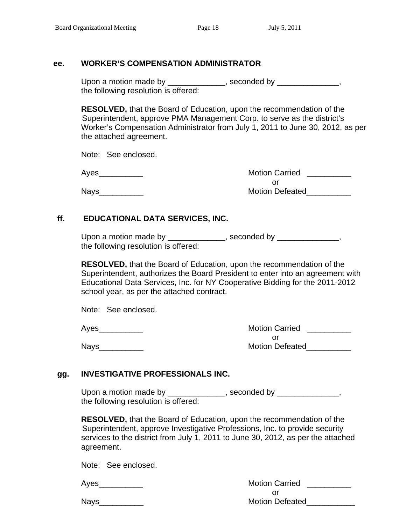#### **ee. WORKER'S COMPENSATION ADMINISTRATOR**

Upon a motion made by \_\_\_\_\_\_\_\_\_\_\_\_, seconded by \_\_\_\_\_\_\_\_\_\_\_\_\_ the following resolution is offered:

 **RESOLVED,** that the Board of Education, upon the recommendation of the Superintendent, approve PMA Management Corp. to serve as the district's Worker's Compensation Administrator from July 1, 2011 to June 30, 2012, as per the attached agreement.

Note: See enclosed.

 Ayes\_\_\_\_\_\_\_\_\_\_ Motion Carried \_\_\_\_\_\_\_\_\_\_ or and the contract of the contract of the contract of the contract of the contract of the contract of the contract of the contract of the contract of the contract of the contract of the contract of the contract of the con Nays extending the set of the Motion Defeated

### **ff. EDUCATIONAL DATA SERVICES, INC.**

| Upon a motion made by                | , seconded by |
|--------------------------------------|---------------|
| the following resolution is offered: |               |

 **RESOLVED,** that the Board of Education, upon the recommendation of the Superintendent, authorizes the Board President to enter into an agreement with Educational Data Services, Inc. for NY Cooperative Bidding for the 2011-2012 school year, as per the attached contract.

Note: See enclosed.

 Ayes\_\_\_\_\_\_\_\_\_\_ Motion Carried \_\_\_\_\_\_\_\_\_\_ or and the contract of the contract of the contract of the contract of the contract of the contract of the contract of the contract of the contract of the contract of the contract of the contract of the contract of the con Nays\_\_\_\_\_\_\_\_\_\_ Motion Defeated\_\_\_\_\_\_\_\_\_\_

### **gg. INVESTIGATIVE PROFESSIONALS INC.**

Upon a motion made by \_\_\_\_\_\_\_\_\_\_\_\_\_, seconded by \_\_\_\_\_\_\_\_\_\_\_\_\_ the following resolution is offered:

 **RESOLVED,** that the Board of Education, upon the recommendation of the Superintendent, approve Investigative Professions, Inc. to provide security services to the district from July 1, 2011 to June 30, 2012, as per the attached agreement.

Note: See enclosed.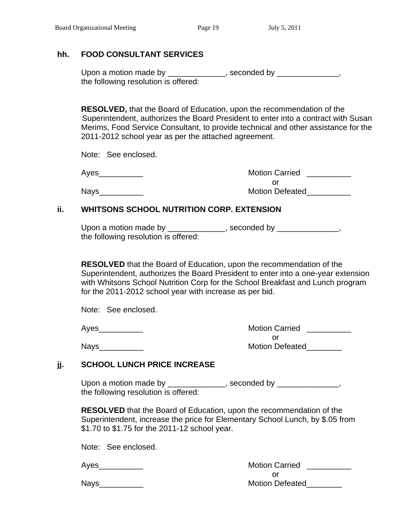#### **hh. FOOD CONSULTANT SERVICES**

Upon a motion made by \_\_\_\_\_\_\_\_\_\_\_\_, seconded by \_\_\_\_\_\_\_\_\_\_\_\_, the following resolution is offered:

 **RESOLVED,** that the Board of Education, upon the recommendation of the Superintendent, authorizes the Board President to enter into a contract with Susan Merims, Food Service Consultant, to provide technical and other assistance for the 2011-2012 school year as per the attached agreement.

Note: See enclosed.

| Navs |
|------|
|      |

| Ayes | <b>Motion Carried</b>  |
|------|------------------------|
|      |                        |
| Nays | <b>Motion Defeated</b> |

#### **ii. WHITSONS SCHOOL NUTRITION CORP. EXTENSION**

Upon a motion made by \_\_\_\_\_\_\_\_\_\_\_\_\_, seconded by \_\_\_\_\_\_\_\_\_\_\_\_\_, the following resolution is offered:

**RESOLVED** that the Board of Education, upon the recommendation of the Superintendent, authorizes the Board President to enter into a one-year extension with Whitsons School Nutrition Corp for the School Breakfast and Lunch program for the 2011-2012 school year with increase as per bid.

Note: See enclosed.

 Ayes\_\_\_\_\_\_\_\_\_\_ Motion Carried \_\_\_\_\_\_\_\_\_\_ or and the contract of the contract of the contract of the contract of the contract of the contract of the contract of the contract of the contract of the contract of the contract of the contract of the contract of the con Nays\_\_\_\_\_\_\_\_\_\_ Motion Defeated\_\_\_\_\_\_\_\_

### **jj. SCHOOL LUNCH PRICE INCREASE**

Upon a motion made by \_\_\_\_\_\_\_\_\_\_\_\_, seconded by \_\_\_\_\_\_\_\_\_\_\_\_, the following resolution is offered:

**RESOLVED** that the Board of Education, upon the recommendation of the Superintendent, increase the price for Elementary School Lunch, by \$.05 from \$1.70 to \$1.75 for the 2011-12 school year.

Note: See enclosed.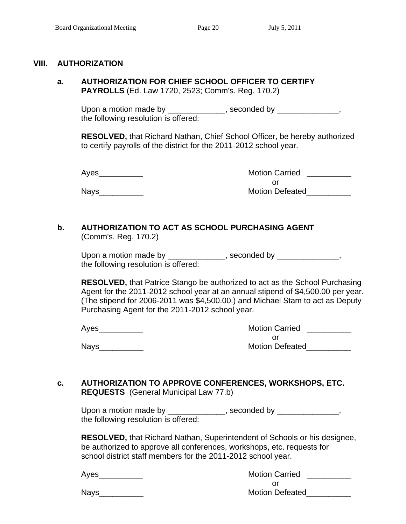#### **VIII. AUTHORIZATION**

**a. AUTHORIZATION FOR CHIEF SCHOOL OFFICER TO CERTIFY PAYROLLS** (Ed. Law 1720, 2523; Comm's. Reg. 170.2)

Upon a motion made by \_\_\_\_\_\_\_\_\_\_\_\_\_, seconded by \_\_\_\_\_\_\_\_\_\_\_\_\_, the following resolution is offered:

**RESOLVED,** that Richard Nathan, Chief School Officer, be hereby authorized to certify payrolls of the district for the 2011-2012 school year.

 Ayes\_\_\_\_\_\_\_\_\_\_ Motion Carried \_\_\_\_\_\_\_\_\_\_ or and the contract of the contract of the contract of the contract of the contract of the contract of the contract of the contract of the contract of the contract of the contract of the contract of the contract of the con Nays extending the contract of the Motion Defeated

#### **b. AUTHORIZATION TO ACT AS SCHOOL PURCHASING AGENT** (Comm's. Reg. 170.2)

Upon a motion made by \_\_\_\_\_\_\_\_\_\_\_\_\_, seconded by \_\_\_\_\_\_\_\_\_\_\_\_\_, the following resolution is offered:

**RESOLVED,** that Patrice Stango be authorized to act as the School Purchasing Agent for the 2011-2012 school year at an annual stipend of \$4,500.00 per year. (The stipend for 2006-2011 was \$4,500.00.) and Michael Stam to act as Deputy Purchasing Agent for the 2011-2012 school year.

 Ayes\_\_\_\_\_\_\_\_\_\_ Motion Carried \_\_\_\_\_\_\_\_\_\_ or and the contract of the contract of the contract of the contract of the contract of the contract of the contract of the contract of the contract of the contract of the contract of the contract of the contract of the con Nays\_\_\_\_\_\_\_\_\_\_ Motion Defeated\_\_\_\_\_\_\_\_\_\_

#### **c. AUTHORIZATION TO APPROVE CONFERENCES, WORKSHOPS, ETC. REQUESTS** (General Municipal Law 77.b)

Upon a motion made by \_\_\_\_\_\_\_\_\_\_\_\_\_, seconded by \_\_\_\_\_\_\_\_\_\_\_\_\_, the following resolution is offered:

**RESOLVED,** that Richard Nathan, Superintendent of Schools or his designee, be authorized to approve all conferences, workshops, etc. requests for school district staff members for the 2011-2012 school year.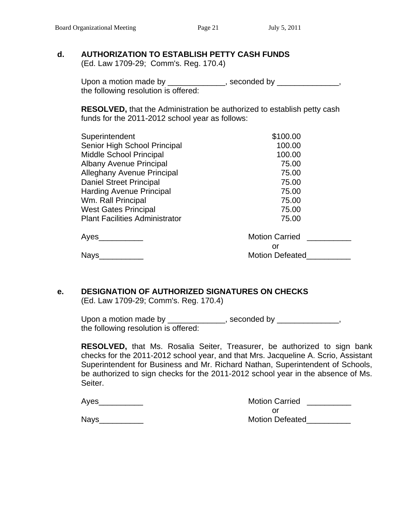#### **d. AUTHORIZATION TO ESTABLISH PETTY CASH FUNDS**

(Ed. Law 1709-29; Comm's. Reg. 170.4)

Upon a motion made by \_\_\_\_\_\_\_\_\_\_\_\_\_, seconded by \_\_\_\_\_\_\_\_\_\_\_\_\_, the following resolution is offered:

 **RESOLVED,** that the Administration be authorized to establish petty cash funds for the 2011-2012 school year as follows:

| Superintendent                        | \$100.00               |
|---------------------------------------|------------------------|
| Senior High School Principal          | 100.00                 |
| Middle School Principal               | 100.00                 |
| <b>Albany Avenue Principal</b>        | 75.00                  |
| <b>Alleghany Avenue Principal</b>     | 75.00                  |
| Daniel Street Principal               | 75.00                  |
| <b>Harding Avenue Principal</b>       | 75.00                  |
| Wm. Rall Principal                    | 75.00                  |
| <b>West Gates Principal</b>           | 75.00                  |
| <b>Plant Facilities Administrator</b> | 75.00                  |
| Ayes                                  | <b>Motion Carried</b>  |
|                                       | or                     |
| <b>Nays</b>                           | <b>Motion Defeated</b> |

# **e. DESIGNATION OF AUTHORIZED SIGNATURES ON CHECKS**

(Ed. Law 1709-29; Comm's. Reg. 170.4)

Upon a motion made by \_\_\_\_\_\_\_\_\_\_\_\_, seconded by \_\_\_\_\_\_\_\_\_\_\_\_, the following resolution is offered:

**RESOLVED,** that Ms. Rosalia Seiter, Treasurer, be authorized to sign bank checks for the 2011-2012 school year, and that Mrs. Jacqueline A. Scrio, Assistant Superintendent for Business and Mr. Richard Nathan, Superintendent of Schools, be authorized to sign checks for the 2011-2012 school year in the absence of Ms. Seiter.

| Ayes | <b>Motion Carried</b>  |
|------|------------------------|
|      |                        |
| Navs | <b>Motion Defeated</b> |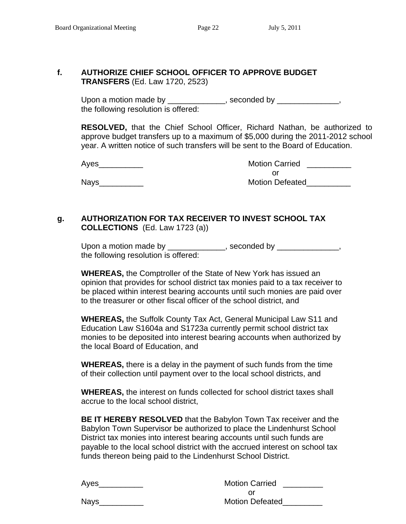#### **f. AUTHORIZE CHIEF SCHOOL OFFICER TO APPROVE BUDGET TRANSFERS** (Ed. Law 1720, 2523)

Upon a motion made by \_\_\_\_\_\_\_\_\_\_\_\_\_, seconded by \_\_\_\_\_\_\_\_\_\_\_\_\_\_, the following resolution is offered:

> **RESOLVED,** that the Chief School Officer, Richard Nathan, be authorized to approve budget transfers up to a maximum of \$5,000 during the 2011-2012 school year. A written notice of such transfers will be sent to the Board of Education.

 Ayes\_\_\_\_\_\_\_\_\_\_ Motion Carried \_\_\_\_\_\_\_\_\_\_ or and the contract of the contract of the contract of the contract of the contract of the contract of the contract of the contract of the contract of the contract of the contract of the contract of the contract of the con Nays\_\_\_\_\_\_\_\_\_\_ Motion Defeated\_\_\_\_\_\_\_\_\_\_

# **g. AUTHORIZATION FOR TAX RECEIVER TO INVEST SCHOOL TAX COLLECTIONS** (Ed. Law 1723 (a))

Upon a motion made by \_\_\_\_\_\_\_\_\_\_\_\_\_, seconded by \_\_\_\_\_\_\_\_\_\_\_\_\_, the following resolution is offered:

 **WHEREAS,** the Comptroller of the State of New York has issued an opinion that provides for school district tax monies paid to a tax receiver to be placed within interest bearing accounts until such monies are paid over to the treasurer or other fiscal officer of the school district, and

**WHEREAS,** the Suffolk County Tax Act, General Municipal Law S11 and Education Law S1604a and S1723a currently permit school district tax monies to be deposited into interest bearing accounts when authorized by the local Board of Education, and

 **WHEREAS,** there is a delay in the payment of such funds from the time of their collection until payment over to the local school districts, and

 **WHEREAS,** the interest on funds collected for school district taxes shall accrue to the local school district,

 **BE IT HEREBY RESOLVED** that the Babylon Town Tax receiver and the Babylon Town Supervisor be authorized to place the Lindenhurst School District tax monies into interest bearing accounts until such funds are payable to the local school district with the accrued interest on school tax funds thereon being paid to the Lindenhurst School District.

| Ayes        | <b>Motion Carried</b>  |
|-------------|------------------------|
|             |                        |
| <b>Nays</b> | <b>Motion Defeated</b> |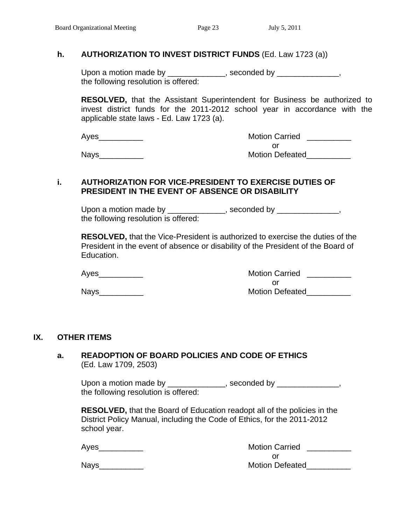#### **h. AUTHORIZATION TO INVEST DISTRICT FUNDS** (Ed. Law 1723 (a))

Upon a motion made by \_\_\_\_\_\_\_\_\_\_\_\_\_, seconded by \_\_\_\_\_\_\_\_\_\_\_\_\_, the following resolution is offered:

**RESOLVED,** that the Assistant Superintendent for Business be authorized to invest district funds for the 2011-2012 school year in accordance with the applicable state laws - Ed. Law 1723 (a).

| Ayes | <b>Motion Carried</b>  |
|------|------------------------|
|      |                        |
| Navs | <b>Motion Defeated</b> |

#### **i. AUTHORIZATION FOR VICE-PRESIDENT TO EXERCISE DUTIES OF PRESIDENT IN THE EVENT OF ABSENCE OR DISABILITY**

Upon a motion made by \_\_\_\_\_\_\_\_\_\_\_\_\_, seconded by \_\_\_\_\_\_\_\_\_\_\_\_\_, the following resolution is offered:

 **RESOLVED,** that the Vice-President is authorized to exercise the duties of the President in the event of absence or disability of the President of the Board of Education.

Ayes extending the matrix of the Motion Carried Ayes and the Motion Carried and the Motion Carried and the Motion Carried and the Motion Carried and the Motion Carried and the Motion Carried and the Motion Carried and the

or and the contract of the contract of the contract of the contract of the contract of the contract of the contract of the contract of the contract of the contract of the contract of the contract of the contract of the con Nays\_\_\_\_\_\_\_\_\_\_ Motion Defeated\_\_\_\_\_\_\_\_\_\_

#### **IX. OTHER ITEMS**

#### **a. READOPTION OF BOARD POLICIES AND CODE OF ETHICS** (Ed. Law 1709, 2503)

Upon a motion made by \_\_\_\_\_\_\_\_\_\_\_\_, seconded by \_\_\_\_\_\_\_\_\_\_\_\_, the following resolution is offered:

 **RESOLVED,** that the Board of Education readopt all of the policies in the District Policy Manual, including the Code of Ethics, for the 2011-2012 school year.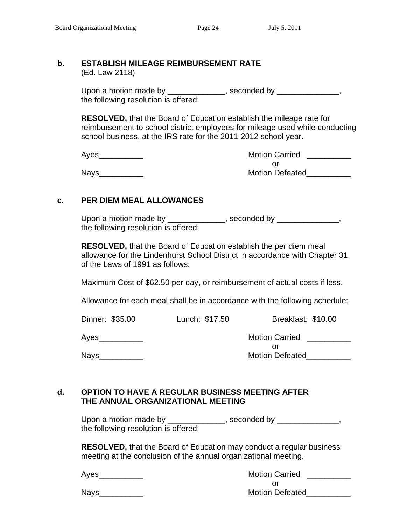#### **b. ESTABLISH MILEAGE REIMBURSEMENT RATE**  (Ed. Law 2118)

Upon a motion made by \_\_\_\_\_\_\_\_\_\_\_\_\_, seconded by \_\_\_\_\_\_\_\_\_\_\_\_\_, the following resolution is offered:

 **RESOLVED,** that the Board of Education establish the mileage rate for reimbursement to school district employees for mileage used while conducting school business, at the IRS rate for the 2011-2012 school year.

Ayes extending the state of the Motion Carried Ayes and the Motion Carried Ayes and the Motion Carried Ayes and the Motion Carried Ayes and the Motion Carried Ayes and the Motion Carried Ayes and the Motion Carried Ayes an or and the contract of the contract of the contract of the contract of the contract of the contract of the contract of the contract of the contract of the contract of the contract of the contract of the contract of the con Nays\_\_\_\_\_\_\_\_\_\_ Motion Defeated\_\_\_\_\_\_\_\_\_\_

#### **c. PER DIEM MEAL ALLOWANCES**

Upon a motion made by \_\_\_\_\_\_\_\_\_\_\_\_, seconded by \_\_\_\_\_\_\_\_\_\_\_\_, the following resolution is offered:

 **RESOLVED,** that the Board of Education establish the per diem meal allowance for the Lindenhurst School District in accordance with Chapter 31 of the Laws of 1991 as follows:

Maximum Cost of \$62.50 per day, or reimbursement of actual costs if less.

Allowance for each meal shall be in accordance with the following schedule:

| Dinner: \$35.00 | Lunch: \$17.50 | Breakfast: \$10.00           |
|-----------------|----------------|------------------------------|
| Ayes            |                | <b>Motion Carried</b>        |
| <b>Nays</b>     |                | or<br><b>Motion Defeated</b> |

#### **d. OPTION TO HAVE A REGULAR BUSINESS MEETING AFTER THE ANNUAL ORGANIZATIONAL MEETING**

Upon a motion made by \_\_\_\_\_\_\_\_\_\_\_\_\_, seconded by \_\_\_\_\_\_\_\_\_\_\_\_\_, the following resolution is offered:

 **RESOLVED,** that the Board of Education may conduct a regular business meeting at the conclusion of the annual organizational meeting.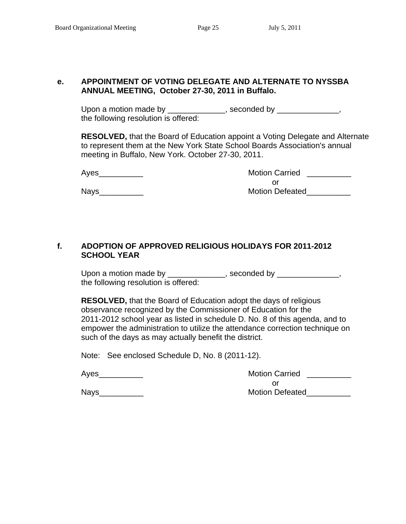#### **e. APPOINTMENT OF VOTING DELEGATE AND ALTERNATE TO NYSSBA ANNUAL MEETING, October 27-30, 2011 in Buffalo.**

Upon a motion made by \_\_\_\_\_\_\_\_\_\_\_\_, seconded by \_\_\_\_\_\_\_\_\_\_\_\_, the following resolution is offered:

**RESOLVED,** that the Board of Education appoint a Voting Delegate and Alternate to represent them at the New York State School Boards Association's annual meeting in Buffalo, New York. October 27-30, 2011.

 Ayes\_\_\_\_\_\_\_\_\_\_ Motion Carried \_\_\_\_\_\_\_\_\_\_ or and the contract of the contract of the contract of the contract of the contract of the contract of the contract of the contract of the contract of the contract of the contract of the contract of the contract of the con Nays extending the set of the Motion Defeated

### **f. ADOPTION OF APPROVED RELIGIOUS HOLIDAYS FOR 2011-2012 SCHOOL YEAR**

Upon a motion made by \_\_\_\_\_\_\_\_\_\_\_\_\_, seconded by \_\_\_\_\_\_\_\_\_\_\_\_\_, the following resolution is offered:

 **RESOLVED,** that the Board of Education adopt the days of religious observance recognized by the Commissioner of Education for the 2011-2012 school year as listed in schedule D. No. 8 of this agenda, and to empower the administration to utilize the attendance correction technique on such of the days as may actually benefit the district.

Note: See enclosed Schedule D, No. 8 (2011-12).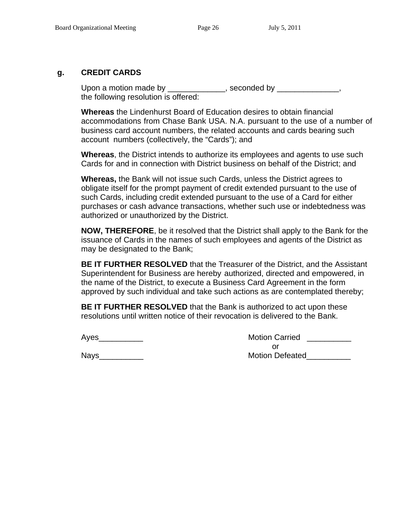#### **g. CREDIT CARDS**

Upon a motion made by \_\_\_\_\_\_\_\_\_\_\_\_, seconded by \_\_\_\_\_\_\_\_\_\_\_\_\_, the following resolution is offered:

 **Whereas** the Lindenhurst Board of Education desires to obtain financial accommodations from Chase Bank USA. N.A. pursuant to the use of a number of business card account numbers, the related accounts and cards bearing such account numbers (collectively, the "Cards"); and

 **Whereas**, the District intends to authorize its employees and agents to use such Cards for and in connection with District business on behalf of the District; and

 **Whereas,** the Bank will not issue such Cards, unless the District agrees to obligate itself for the prompt payment of credit extended pursuant to the use of such Cards, including credit extended pursuant to the use of a Card for either purchases or cash advance transactions, whether such use or indebtedness was authorized or unauthorized by the District.

 **NOW, THEREFORE**, be it resolved that the District shall apply to the Bank for the issuance of Cards in the names of such employees and agents of the District as may be designated to the Bank;

 **BE IT FURTHER RESOLVED** that the Treasurer of the District, and the Assistant Superintendent for Business are hereby authorized, directed and empowered, in the name of the District, to execute a Business Card Agreement in the form approved by such individual and take such actions as are contemplated thereby;

 **BE IT FURTHER RESOLVED** that the Bank is authorized to act upon these resolutions until written notice of their revocation is delivered to the Bank.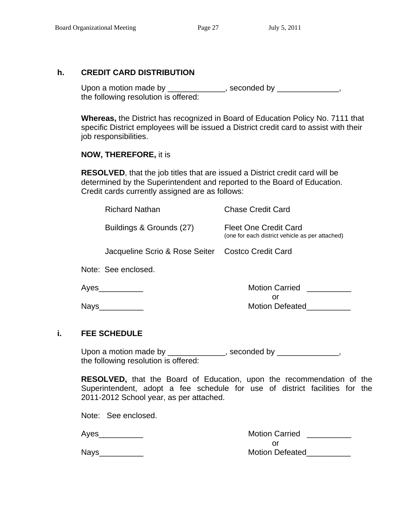#### **h. CREDIT CARD DISTRIBUTION**

Upon a motion made by \_\_\_\_\_\_\_\_\_\_\_\_, seconded by \_\_\_\_\_\_\_\_\_\_\_\_, the following resolution is offered:

**Whereas,** the District has recognized in Board of Education Policy No. 7111 that specific District employees will be issued a District credit card to assist with their job responsibilities.

#### **NOW, THEREFORE,** it is

**RESOLVED**, that the job titles that are issued a District credit card will be determined by the Superintendent and reported to the Board of Education. Credit cards currently assigned are as follows:

|      | <b>Richard Nathan</b>                             | <b>Chase Credit Card</b>                                                        |
|------|---------------------------------------------------|---------------------------------------------------------------------------------|
|      | Buildings & Grounds (27)                          | <b>Fleet One Credit Card</b><br>(one for each district vehicle as per attached) |
|      | Jacqueline Scrio & Rose Seiter Costco Credit Card |                                                                                 |
|      | Note: See enclosed.                               |                                                                                 |
| Ayes |                                                   | <b>Motion Carried</b><br>or                                                     |
| Nays |                                                   | <b>Motion Defeated</b>                                                          |

#### **i. FEE SCHEDULE**

Upon a motion made by \_\_\_\_\_\_\_\_\_\_\_\_\_, seconded by \_\_\_\_\_\_\_\_\_\_\_\_\_, the following resolution is offered:

**RESOLVED,** that the Board of Education, upon the recommendation of the Superintendent, adopt a fee schedule for use of district facilities for the 2011-2012 School year, as per attached.

Note: See enclosed.

| Aves | <b>Motion Carried</b>  |
|------|------------------------|
|      |                        |
| Nays | <b>Motion Defeated</b> |

| aavs:<br>-- |
|-------------|
|-------------|